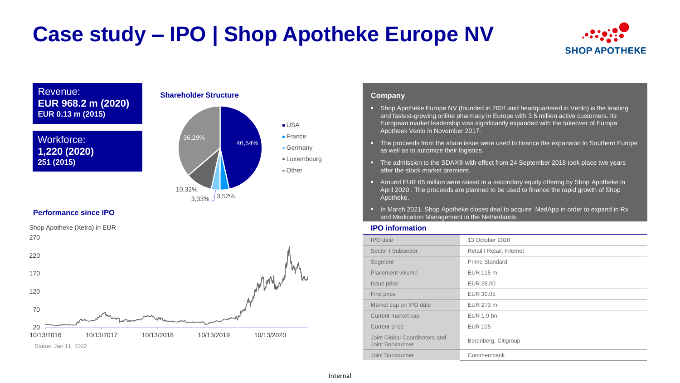# **Case study – IPO | Shop Apotheke Europe NV**



## Revenue: **EUR 968.2 m (2020) EUR 0.13 m (2015)**





## **Performance since IPO**

20 70 120 170 220 270 10/13/2016 10/13/2017 10/13/2018 10/13/2019 10/13/2020 Shop Apotheke (Xetra) in EUR Status: Jan 11, 2022

### **Company**

- **Shop Apotheke Europe NV (founded in 2001 and headquartered in Venlo) is the leading** and fastest-growing online pharmacy in Europe with 3.5 million active customers. Its European market leadership was significantly expanded with the takeover of Europa Apotheek Venlo in November 2017.
- The proceeds from the share issue were used to finance the expansion to Southern Europe as well as to automize their logistics.
- The admission to the SDAX® with effect from 24 September 2018 took place two years after the stock market premiere.
- **Around EUR 65 million were raised in a secondary equity offering by Shop Apotheke in** April 2020 . The proceeds are planned to be used to finance the rapid growth of Shop Apotheke.
- In March 2021. Shop Apotheke closes deal to acquire MedApp in order to expand in Rx and Medication Management in the Netherlands.

## **IPO information**

| <b>IPO</b> date                                   | 13 October 2016           |
|---------------------------------------------------|---------------------------|
| Sector I Subsector                                | Retail I Retail, Internet |
| Segment                                           | Prime Standard            |
| Placement volume                                  | EUR 115 m                 |
| Issue price                                       | EUR 28.00                 |
| First price                                       | EUR 30.05                 |
| Market cap on IPO date                            | EUR 273 m                 |
| Current market cap                                | EUR 1.9 bn                |
| Current price                                     | <b>EUR 105</b>            |
| Joint Global Coordinators and<br>Joint Bookrunner | Berenberg, Citigroup      |
| Joint Bookrunner                                  | Commerzbank               |